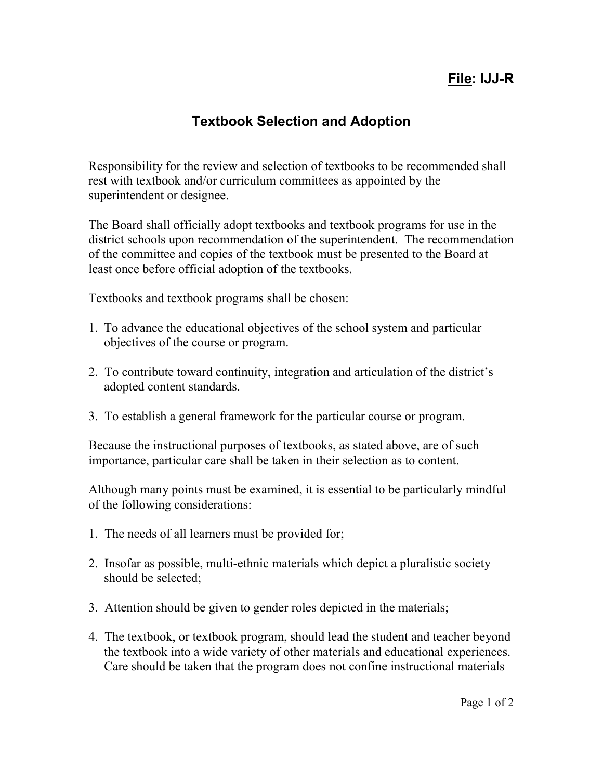## **File: IJJ-R**

## **Textbook Selection and Adoption**

Responsibility for the review and selection of textbooks to be recommended shall rest with textbook and/or curriculum committees as appointed by the superintendent or designee.

The Board shall officially adopt textbooks and textbook programs for use in the district schools upon recommendation of the superintendent. The recommendation of the committee and copies of the textbook must be presented to the Board at least once before official adoption of the textbooks.

Textbooks and textbook programs shall be chosen:

- 1. To advance the educational objectives of the school system and particular objectives of the course or program.
- 2. To contribute toward continuity, integration and articulation of the district's adopted content standards.
- 3. To establish a general framework for the particular course or program.

Because the instructional purposes of textbooks, as stated above, are of such importance, particular care shall be taken in their selection as to content.

Although many points must be examined, it is essential to be particularly mindful of the following considerations:

- 1. The needs of all learners must be provided for;
- 2. Insofar as possible, multi-ethnic materials which depict a pluralistic society should be selected;
- 3. Attention should be given to gender roles depicted in the materials;
- 4. The textbook, or textbook program, should lead the student and teacher beyond the textbook into a wide variety of other materials and educational experiences. Care should be taken that the program does not confine instructional materials